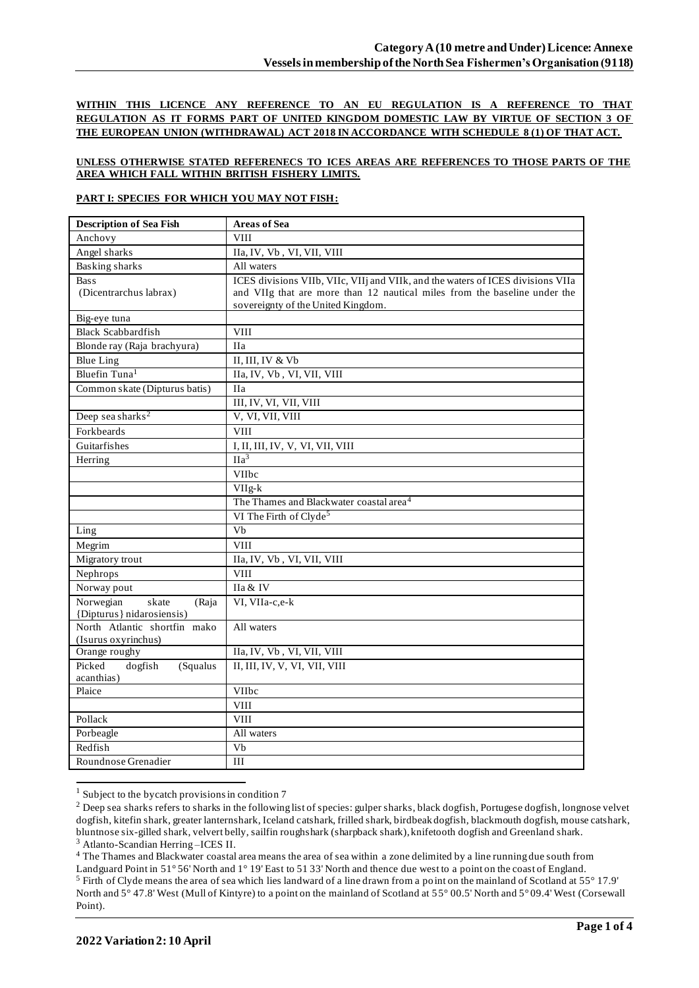**WITHIN THIS LICENCE ANY REFERENCE TO AN EU REGULATION IS A REFERENCE TO THAT REGULATION AS IT FORMS PART OF UNITED KINGDOM DOMESTIC LAW BY VIRTUE OF SECTION 3 OF THE EUROPEAN UNION (WITHDRAWAL) ACT 2018 IN ACCORDANCE WITH SCHEDULE 8 (1) OF THAT ACT.**

### **UNLESS OTHERWISE STATED REFERENECS TO ICES AREAS ARE REFERENCES TO THOSE PARTS OF THE AREA WHICH FALL WITHIN BRITISH FISHERY LIMITS.**

### **PART I: SPECIES FOR WHICH YOU MAY NOT FISH:**

| Anchovy<br><b>VIII</b>                                                                              |  |
|-----------------------------------------------------------------------------------------------------|--|
|                                                                                                     |  |
| Angel sharks<br>IIa, IV, Vb, VI, VII, VIII                                                          |  |
| <b>Basking sharks</b><br>All waters                                                                 |  |
| ICES divisions VIIb, VIIc, VIIj and VIIk, and the waters of ICES divisions VIIa<br><b>Bass</b>      |  |
| (Dicentrarchus labrax)<br>and VIIg that are more than 12 nautical miles from the baseline under the |  |
| sovereignty of the United Kingdom.                                                                  |  |
| Big-eye tuna                                                                                        |  |
| <b>Black Scabbardfish</b><br><b>VIII</b>                                                            |  |
| Blonde ray (Raja brachyura)<br><b>IIa</b>                                                           |  |
| II, III, IV & Vb<br><b>Blue Ling</b>                                                                |  |
| Bluefin Tuna <sup>1</sup><br>IIa, IV, Vb, VI, VII, VIII                                             |  |
| Common skate (Dipturus batis)<br><b>IIa</b>                                                         |  |
| III, IV, VI, VII, VIII                                                                              |  |
| Deep sea sharks <sup>2</sup><br>V, VI, VII, VIII                                                    |  |
| Forkbeards<br><b>VIII</b>                                                                           |  |
| Guitarfishes<br>I, II, III, IV, V, VI, VII, VIII                                                    |  |
| $\overline{Ha^3}$<br>Herring                                                                        |  |
| VIIbc                                                                                               |  |
| VIIg-k                                                                                              |  |
| The Thames and Blackwater coastal area <sup>4</sup>                                                 |  |
| VI The Firth of Clyde <sup>5</sup>                                                                  |  |
| $\overline{Vb}$<br>Ling                                                                             |  |
| Megrim<br><b>VIII</b>                                                                               |  |
| Migratory trout<br>IIa, IV, Vb, VI, VII, VIII                                                       |  |
| <b>VIII</b><br>Nephrops                                                                             |  |
| Norway pout<br>IIa & IV                                                                             |  |
| Norwegian<br>skate<br>VI, VIIa-c,e-k<br>(Raja                                                       |  |
| {Dipturus} nidarosiensis)                                                                           |  |
| North Atlantic shortfin mako<br>All waters                                                          |  |
| (Isurus oxyrinchus)                                                                                 |  |
| IIa, IV, Vb, VI, VII, VIII<br>Orange roughy                                                         |  |
| II, III, IV, V, VI, VII, VIII<br>Picked<br>dogfish<br>(Squalus<br>acanthias)                        |  |
| Plaice<br>VIIbc                                                                                     |  |
| <b>VIII</b>                                                                                         |  |
| Pollack<br><b>VIII</b>                                                                              |  |
| Porbeagle<br>All waters                                                                             |  |
| Redfish<br>Vb                                                                                       |  |
| Roundnose Grenadier<br>III                                                                          |  |

<sup>&</sup>lt;sup>1</sup> Subject to the bycatch provisions in condition 7

<sup>4</sup> The Thames and Blackwater coastal area means the area of sea within a zone delimited by a line running due south from

<sup>&</sup>lt;sup>2</sup> Deep sea sharks refers to sharks in the following list of species: gulper sharks, black dogfish, Portugese dogfish, longnose velvet dogfish, kitefin shark, greater lanternshark, Iceland catshark, frilled shark, birdbeak dogfish, blackmouth dogfish, mouse catshark, bluntnose six-gilled shark, velvert belly, sailfin roughshark (sharpback shark), knifetooth dogfish and Greenland shark. <sup>3</sup> Atlanto-Scandian Herring –ICES II.

Landguard Point in 51° 56' North and 1° 19' East to 51 33' North and thence due west to a point on the coast of England. <sup>5</sup> Firth of Clyde means the area of sea which lies landward of a line drawn from a point on the mainland of Scotland at 55° 17.9' North and 5° 47.8' West (Mull of Kintyre) to a point on the mainland of Scotland at 55° 00.5' North and 5° 09.4' West (Corsewall Point).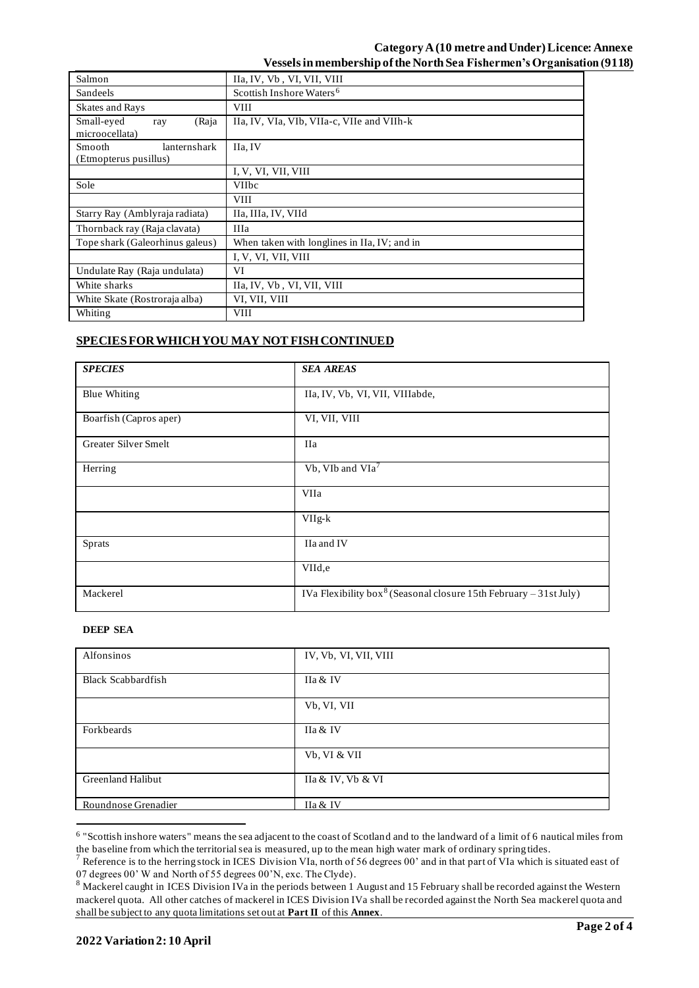## **Category A(10 metre and Under)Licence: Annexe Vessels in membership of the North Sea Fishermen's Organisation (9118)**

| Salmon                                                 | IIa, IV, Vb, VI, VII, VIII                   |  |  |
|--------------------------------------------------------|----------------------------------------------|--|--|
| Sandeels                                               | Scottish Inshore Waters <sup>6</sup>         |  |  |
| Skates and Rays                                        | <b>VIII</b>                                  |  |  |
| Small-eyed<br>(Raja<br>ray<br>microocellata)           | IIa, IV, VIa, VIb, VIIa-c, VIIe and VIIh-k   |  |  |
| <b>Smooth</b><br>lanternshark<br>(Etmopterus pusillus) | IIa, IV                                      |  |  |
|                                                        | I, V, VI, VII, VIII                          |  |  |
| Sole                                                   | <b>VIIbc</b>                                 |  |  |
|                                                        | <b>VIII</b>                                  |  |  |
| Starry Ray (Amblyraja radiata)                         | IIa, IIIa, IV, VIId                          |  |  |
| Thornback ray (Raja clavata)                           | <b>IIIa</b>                                  |  |  |
| Tope shark (Galeorhinus galeus)                        | When taken with longlines in IIa, IV; and in |  |  |
|                                                        | I, V, VI, VII, VIII                          |  |  |
| Undulate Ray (Raja undulata)                           | VI                                           |  |  |
| White sharks                                           | IIa, IV, Vb, VI, VII, VIII                   |  |  |
| White Skate (Rostroraja alba)                          | VI, VII, VIII                                |  |  |
| Whiting                                                | <b>VIII</b>                                  |  |  |

# **SPECIES FOR WHICH YOU MAY NOT FISH CONTINUED**

| <b>SPECIES</b>         | <b>SEA AREAS</b>                                                              |
|------------------------|-------------------------------------------------------------------------------|
| <b>Blue Whiting</b>    | IIa, IV, Vb, VI, VII, VIIIabde,                                               |
| Boarfish (Capros aper) | VI, VII, VIII                                                                 |
| Greater Silver Smelt   | <b>IIa</b>                                                                    |
| Herring                | Vb, VIb and VIa <sup>7</sup>                                                  |
|                        | VIIa                                                                          |
|                        | $VIIg-k$                                                                      |
| <b>Sprats</b>          | IIa and IV                                                                    |
|                        | VIId,e                                                                        |
| Mackerel               | IVa Flexibility box <sup>8</sup> (Seasonal closure 15th February – 31st July) |

## **DEEP SEA**

| Alfonsinos                | IV, Vb, VI, VII, VIII |
|---------------------------|-----------------------|
| <b>Black Scabbardfish</b> | IIa & IV              |
|                           | Vb, VI, VII           |
| Forkbeards                | IIa & IV              |
|                           | Vb, VI & VII          |
| <b>Greenland Halibut</b>  | IIa & IV, Vb & VI     |
| Roundnose Grenadier       | IIa & IV              |

<sup>&</sup>lt;sup>6</sup> "Scottish inshore waters" means the sea adjacent to the coast of Scotland and to the landward of a limit of 6 nautical miles from the baseline from which the territorial sea is measured, up to the mean high water mark of ordinary spring tides.

<sup>&</sup>lt;sup>7</sup> Reference is to the herring stock in ICES Division VIa, north of 56 degrees 00' and in that part of VIa which is situated east of 07 degrees 00' W and North of 55 degrees 00'N, exc. The Clyde).

<sup>&</sup>lt;sup>8</sup> Mackerel caught in ICES Division IVa in the periods between 1 August and 15 February shall be recorded against the Western mackerel quota. All other catches of mackerel in ICES Division IVa shall be recorded against the North Sea mackerel quota and shall be subject to any quota limitations set out at **Part II** of this **Annex**.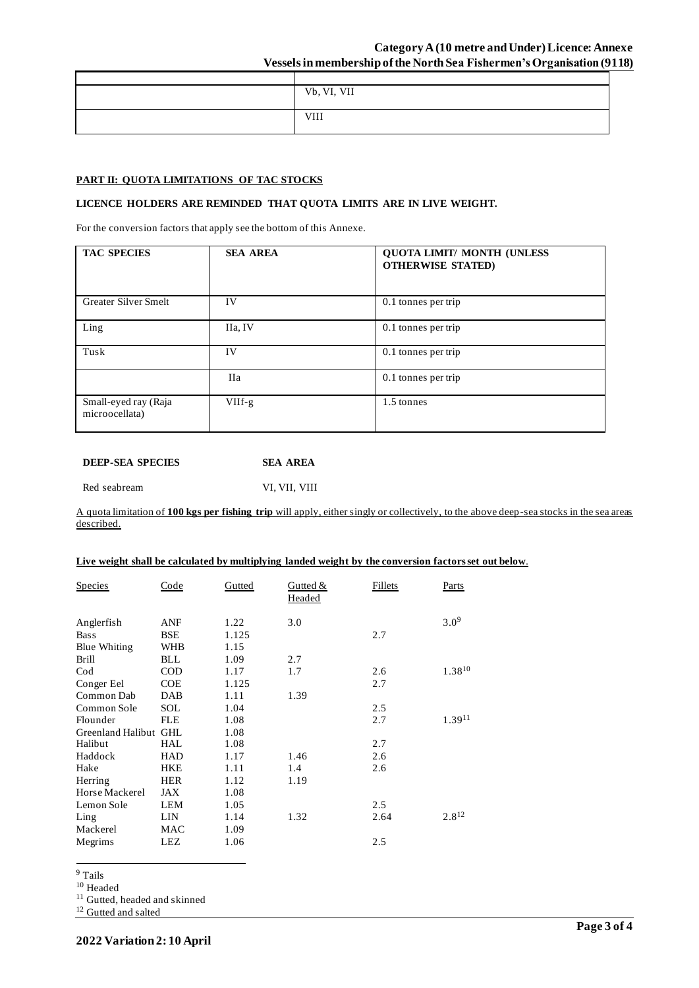## **Category A(10 metre and Under)Licence: Annexe Vessels in membership of the North Sea Fishermen's Organisation (9118)**

| Vb, VI, VII |
|-------------|
|             |
|             |
|             |
|             |

## **PART II: QUOTA LIMITATIONS OF TAC STOCKS**

#### **LICENCE HOLDERS ARE REMINDED THAT QUOTA LIMITS ARE IN LIVE WEIGHT.**

For the conversion factors that apply see the bottom of this Annexe.

| <b>TAC SPECIES</b>                     | <b>SEA AREA</b> | <b>QUOTA LIMIT/ MONTH (UNLESS)</b><br><b>OTHERWISE STATED)</b> |
|----------------------------------------|-----------------|----------------------------------------------------------------|
| Greater Silver Smelt                   | IV              | 0.1 tonnes per trip                                            |
| Ling                                   | IIa, IV         | 0.1 tonnes per trip                                            |
| Tusk                                   | IV              | 0.1 tonnes per trip                                            |
|                                        | <b>IIa</b>      | 0.1 tonnes per trip                                            |
| Small-eyed ray (Raja<br>microocellata) | $VIIf-g$        | 1.5 tonnes                                                     |

| <b>DEEP-SEA SPECIES</b> | SEA AREA |
|-------------------------|----------|
|                         |          |

Red seabream VI, VII, VIII

A quota limitation of **100 kgs per fishing trip** will apply, either singly or collectively, to the above deep-sea stocks in the sea areas described.

#### **Live weight shall be calculated by multiplying landed weight by the conversion factors set out below**.

| <b>Species</b>        | Code       | Gutted | Gutted $&$<br>Headed | Fillets | Parts       |
|-----------------------|------------|--------|----------------------|---------|-------------|
| Anglerfish            | ANF        | 1.22   | 3.0                  |         | $3.0^{9}$   |
| <b>Bass</b>           | <b>BSE</b> | 1.125  |                      | 2.7     |             |
| Blue Whiting          | <b>WHB</b> | 1.15   |                      |         |             |
| <b>Brill</b>          | <b>BLL</b> | 1.09   | 2.7                  |         |             |
| $\rm Cod$             | <b>COD</b> | 1.17   | 1.7                  | 2.6     | $1.38^{10}$ |
| Conger Eel            | <b>COE</b> | 1.125  |                      | 2.7     |             |
| Common Dab            | DAB        | 1.11   | 1.39                 |         |             |
| Common Sole           | SOL        | 1.04   |                      | 2.5     |             |
| Flounder              | <b>FLE</b> | 1.08   |                      | 2.7     | $1.39^{11}$ |
| Greenland Halibut GHL |            | 1.08   |                      |         |             |
| Halibut               | HAL        | 1.08   |                      | 2.7     |             |
| Haddock               | HAD        | 1.17   | 1.46                 | 2.6     |             |
| Hake                  | <b>HKE</b> | 1.11   | 1.4                  | 2.6     |             |
| Herring               | <b>HER</b> | 1.12   | 1.19                 |         |             |
| Horse Mackerel        | JAX        | 1.08   |                      |         |             |
| Lemon Sole            | <b>LEM</b> | 1.05   |                      | 2.5     |             |
| Ling                  | LIN        | 1.14   | 1.32                 | 2.64    | $2.8^{12}$  |
| Mackerel              | MAC        | 1.09   |                      |         |             |
| Megrims               | <b>LEZ</b> | 1.06   |                      | 2.5     |             |

 $^9$  Tails  $\,$ 

 $^{\rm 10}$  Headed

<sup>11</sup> Gutted, headed and skinned

<sup>12</sup> Gutted and salted